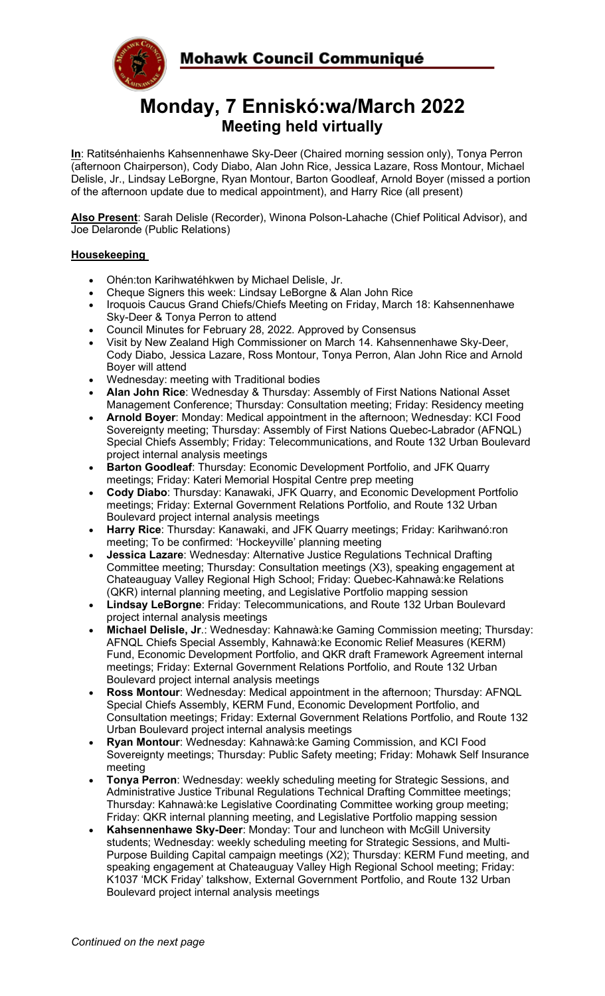



# **Monday, 7 Enniskó:wa/March 2022 Meeting held virtually**

**In**: Ratitsénhaienhs Kahsennenhawe Sky-Deer (Chaired morning session only), Tonya Perron (afternoon Chairperson), Cody Diabo, Alan John Rice, Jessica Lazare, Ross Montour, Michael Delisle, Jr., Lindsay LeBorgne, Ryan Montour, Barton Goodleaf, Arnold Boyer (missed a portion of the afternoon update due to medical appointment), and Harry Rice (all present)

**Also Present**: Sarah Delisle (Recorder), Winona Polson-Lahache (Chief Political Advisor), and Joe Delaronde (Public Relations)

# **Housekeeping**

- Ohén:ton Karihwatéhkwen by Michael Delisle, Jr.
- Cheque Signers this week: Lindsay LeBorgne & Alan John Rice
- Iroquois Caucus Grand Chiefs/Chiefs Meeting on Friday, March 18: Kahsennenhawe Sky-Deer & Tonya Perron to attend
- Council Minutes for February 28, 2022. Approved by Consensus
- Visit by New Zealand High Commissioner on March 14. Kahsennenhawe Sky-Deer, Cody Diabo, Jessica Lazare, Ross Montour, Tonya Perron, Alan John Rice and Arnold Boyer will attend
- Wednesday: meeting with Traditional bodies
- **Alan John Rice**: Wednesday & Thursday: Assembly of First Nations National Asset Management Conference; Thursday: Consultation meeting; Friday: Residency meeting
- **Arnold Boyer**: Monday: Medical appointment in the afternoon; Wednesday: KCI Food Sovereignty meeting; Thursday: Assembly of First Nations Quebec-Labrador (AFNQL) Special Chiefs Assembly; Friday: Telecommunications, and Route 132 Urban Boulevard project internal analysis meetings
- **Barton Goodleaf**: Thursday: Economic Development Portfolio, and JFK Quarry meetings; Friday: Kateri Memorial Hospital Centre prep meeting
- **Cody Diabo**: Thursday: Kanawaki, JFK Quarry, and Economic Development Portfolio meetings; Friday: External Government Relations Portfolio, and Route 132 Urban Boulevard project internal analysis meetings
- **Harry Rice**: Thursday: Kanawaki, and JFK Quarry meetings; Friday: Karihwanó:ron meeting; To be confirmed: 'Hockeyville' planning meeting
- **Jessica Lazare**: Wednesday: Alternative Justice Regulations Technical Drafting Committee meeting; Thursday: Consultation meetings (X3), speaking engagement at Chateauguay Valley Regional High School; Friday: Quebec-Kahnawà:ke Relations (QKR) internal planning meeting, and Legislative Portfolio mapping session
- **Lindsay LeBorgne**: Friday: Telecommunications, and Route 132 Urban Boulevard project internal analysis meetings
- **Michael Delisle, Jr**.: Wednesday: Kahnawà:ke Gaming Commission meeting; Thursday: AFNQL Chiefs Special Assembly, Kahnawà:ke Economic Relief Measures (KERM) Fund, Economic Development Portfolio, and QKR draft Framework Agreement internal meetings; Friday: External Government Relations Portfolio, and Route 132 Urban Boulevard project internal analysis meetings
- **Ross Montour**: Wednesday: Medical appointment in the afternoon; Thursday: AFNQL Special Chiefs Assembly, KERM Fund, Economic Development Portfolio, and Consultation meetings; Friday: External Government Relations Portfolio, and Route 132 Urban Boulevard project internal analysis meetings
- **Ryan Montour**: Wednesday: Kahnawà:ke Gaming Commission, and KCI Food Sovereignty meetings; Thursday: Public Safety meeting; Friday: Mohawk Self Insurance meeting
- **Tonya Perron:** Wednesday: weekly scheduling meeting for Strategic Sessions, and Administrative Justice Tribunal Regulations Technical Drafting Committee meetings; Thursday: Kahnawà:ke Legislative Coordinating Committee working group meeting; Friday: QKR internal planning meeting, and Legislative Portfolio mapping session
- **Kahsennenhawe Sky-Deer**: Monday: Tour and luncheon with McGill University students; Wednesday: weekly scheduling meeting for Strategic Sessions, and Multi-Purpose Building Capital campaign meetings (X2); Thursday: KERM Fund meeting, and speaking engagement at Chateauguay Valley High Regional School meeting; Friday: K1037 'MCK Friday' talkshow, External Government Portfolio, and Route 132 Urban Boulevard project internal analysis meetings